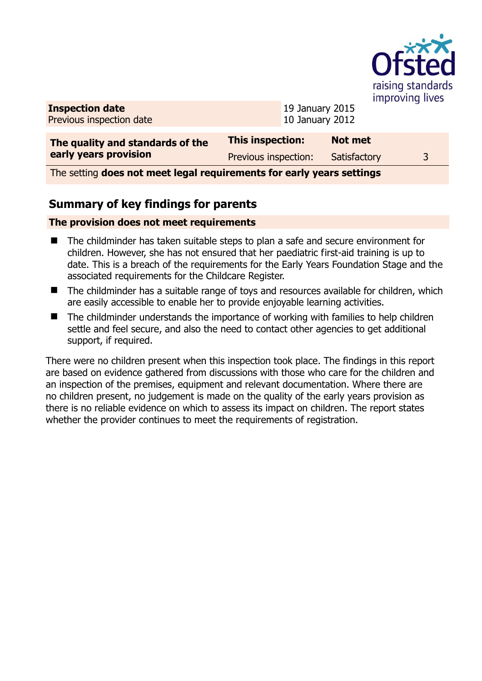

**Inspection date** Previous inspection date 19 January 2015 10 January 2012

| The quality and standards of the | <b>This inspection:</b> | <b>Not met</b> |  |
|----------------------------------|-------------------------|----------------|--|
| early years provision            | Previous inspection:    | Satisfactory   |  |

The setting **does not meet legal requirements for early years settings**

## **Summary of key findings for parents**

### **The provision does not meet requirements**

- The childminder has taken suitable steps to plan a safe and secure environment for children. However, she has not ensured that her paediatric first-aid training is up to date. This is a breach of the requirements for the Early Years Foundation Stage and the associated requirements for the Childcare Register.
- The childminder has a suitable range of toys and resources available for children, which are easily accessible to enable her to provide enjoyable learning activities.
- The childminder understands the importance of working with families to help children settle and feel secure, and also the need to contact other agencies to get additional support, if required.

There were no children present when this inspection took place. The findings in this report are based on evidence gathered from discussions with those who care for the children and an inspection of the premises, equipment and relevant documentation. Where there are no children present, no judgement is made on the quality of the early years provision as there is no reliable evidence on which to assess its impact on children. The report states whether the provider continues to meet the requirements of registration.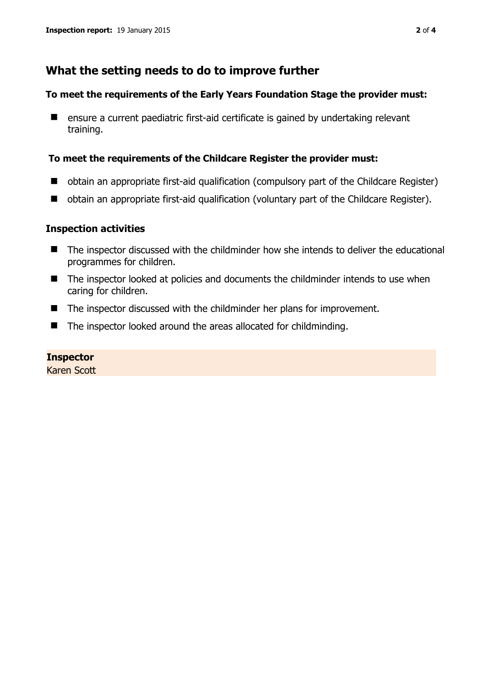## **What the setting needs to do to improve further**

#### **To meet the requirements of the Early Years Foundation Stage the provider must:**

■ ensure a current paediatric first-aid certificate is gained by undertaking relevant training.

#### **To meet the requirements of the Childcare Register the provider must:**

- obtain an appropriate first-aid qualification (compulsory part of the Childcare Register)
- obtain an appropriate first-aid qualification (voluntary part of the Childcare Register).

### **Inspection activities**

- The inspector discussed with the childminder how she intends to deliver the educational programmes for children.
- The inspector looked at policies and documents the childminder intends to use when caring for children.
- The inspector discussed with the childminder her plans for improvement.
- The inspector looked around the areas allocated for childminding.

#### **Inspector**

Karen Scott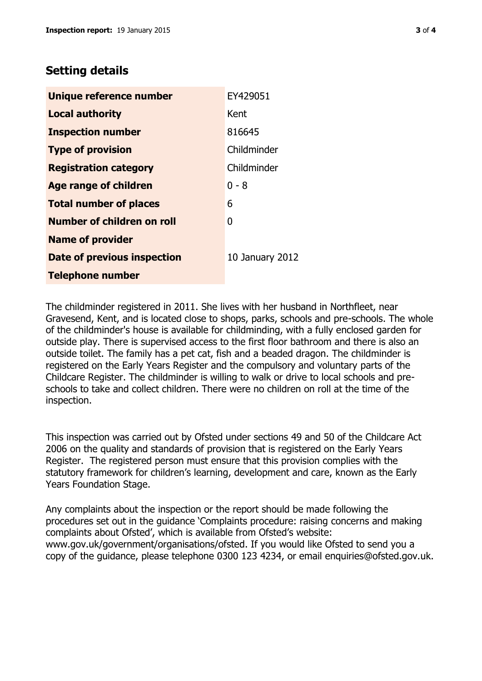# **Setting details**

| Unique reference number       | EY429051        |
|-------------------------------|-----------------|
| <b>Local authority</b>        | Kent            |
| <b>Inspection number</b>      | 816645          |
| <b>Type of provision</b>      | Childminder     |
| <b>Registration category</b>  | Childminder     |
| <b>Age range of children</b>  | 0 - 8           |
| <b>Total number of places</b> | 6               |
| Number of children on roll    | 0               |
| <b>Name of provider</b>       |                 |
| Date of previous inspection   | 10 January 2012 |
| <b>Telephone number</b>       |                 |

The childminder registered in 2011. She lives with her husband in Northfleet, near Gravesend, Kent, and is located close to shops, parks, schools and pre-schools. The whole of the childminder's house is available for childminding, with a fully enclosed garden for outside play. There is supervised access to the first floor bathroom and there is also an outside toilet. The family has a pet cat, fish and a beaded dragon. The childminder is registered on the Early Years Register and the compulsory and voluntary parts of the Childcare Register. The childminder is willing to walk or drive to local schools and preschools to take and collect children. There were no children on roll at the time of the inspection.

This inspection was carried out by Ofsted under sections 49 and 50 of the Childcare Act 2006 on the quality and standards of provision that is registered on the Early Years Register. The registered person must ensure that this provision complies with the statutory framework for children's learning, development and care, known as the Early Years Foundation Stage.

Any complaints about the inspection or the report should be made following the procedures set out in the guidance 'Complaints procedure: raising concerns and making complaints about Ofsted', which is available from Ofsted's website: www.gov.uk/government/organisations/ofsted. If you would like Ofsted to send you a copy of the guidance, please telephone 0300 123 4234, or email enquiries@ofsted.gov.uk.